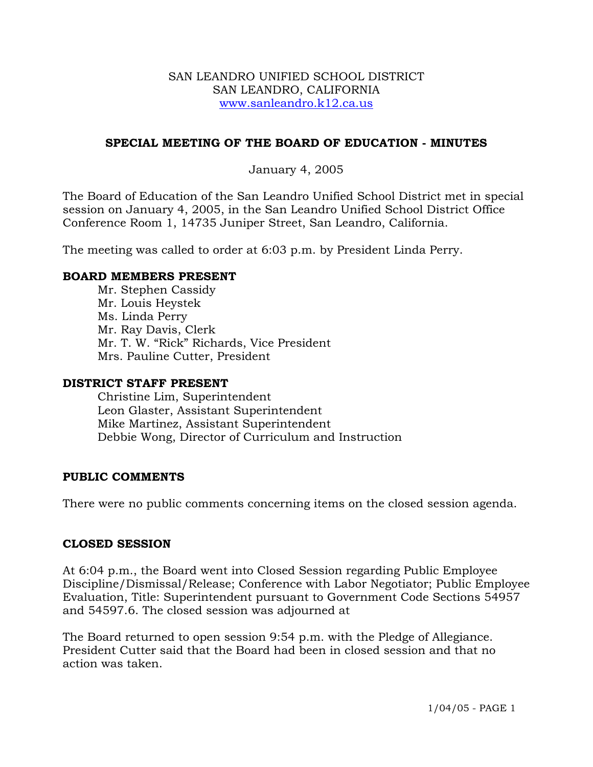#### SAN LEANDRO UNIFIED SCHOOL DISTRICT SAN LEANDRO, CALIFORNIA www.sanleandro.k12.ca.us

## **SPECIAL MEETING OF THE BOARD OF EDUCATION - MINUTES**

# January 4, 2005

The Board of Education of the San Leandro Unified School District met in special session on January 4, 2005, in the San Leandro Unified School District Office Conference Room 1, 14735 Juniper Street, San Leandro, California.

The meeting was called to order at 6:03 p.m. by President Linda Perry.

### **BOARD MEMBERS PRESENT**

Mr. Stephen Cassidy Mr. Louis Heystek Ms. Linda Perry Mr. Ray Davis, Clerk Mr. T. W. "Rick" Richards, Vice President Mrs. Pauline Cutter, President

#### **DISTRICT STAFF PRESENT**

Christine Lim, Superintendent Leon Glaster, Assistant Superintendent Mike Martinez, Assistant Superintendent Debbie Wong, Director of Curriculum and Instruction

## **PUBLIC COMMENTS**

There were no public comments concerning items on the closed session agenda.

#### **CLOSED SESSION**

At 6:04 p.m., the Board went into Closed Session regarding Public Employee Discipline/Dismissal/Release; Conference with Labor Negotiator; Public Employee Evaluation, Title: Superintendent pursuant to Government Code Sections 54957 and 54597.6. The closed session was adjourned at

The Board returned to open session 9:54 p.m. with the Pledge of Allegiance. President Cutter said that the Board had been in closed session and that no action was taken.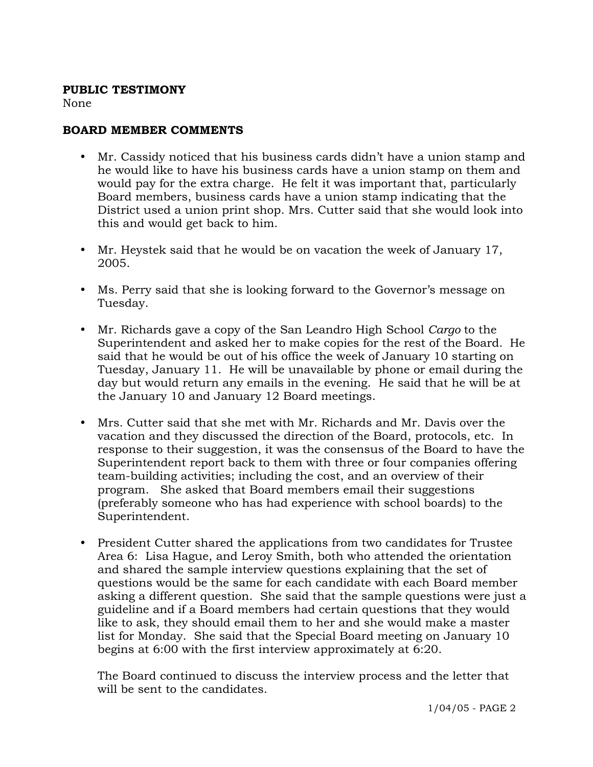### **PUBLIC TESTIMONY**

None

# **BOARD MEMBER COMMENTS**

- y Mr. Cassidy noticed that his business cards didn't have a union stamp and he would like to have his business cards have a union stamp on them and would pay for the extra charge. He felt it was important that, particularly Board members, business cards have a union stamp indicating that the District used a union print shop. Mrs. Cutter said that she would look into this and would get back to him.
- Mr. Heystek said that he would be on vacation the week of January 17, 2005.
- Ms. Perry said that she is looking forward to the Governor's message on Tuesday.
- y Mr. Richards gave a copy of the San Leandro High School *Cargo* to the Superintendent and asked her to make copies for the rest of the Board.He said that he would be out of his office the week of January 10 starting on Tuesday, January 11. He will be unavailable by phone or email during the day but would return any emails in the evening. He said that he will be at the January 10 and January 12 Board meetings.
- y Mrs. Cutter said that she met with Mr. Richards and Mr. Davis over the vacation and they discussed the direction of the Board, protocols, etc. In response to their suggestion, it was the consensus of the Board to have the Superintendent report back to them with three or four companies offering team-building activities; including the cost, and an overview of their program. She asked that Board members email their suggestions (preferably someone who has had experience with school boards) to the Superintendent.
- President Cutter shared the applications from two candidates for Trustee Area 6: Lisa Hague, and Leroy Smith, both who attended the orientation and shared the sample interview questions explaining that the set of questions would be the same for each candidate with each Board member asking a different question. She said that the sample questions were just a guideline and if a Board members had certain questions that they would like to ask, they should email them to her and she would make a master list for Monday. She said that the Special Board meeting on January 10 begins at 6:00 with the first interview approximately at 6:20.

The Board continued to discuss the interview process and the letter that will be sent to the candidates.